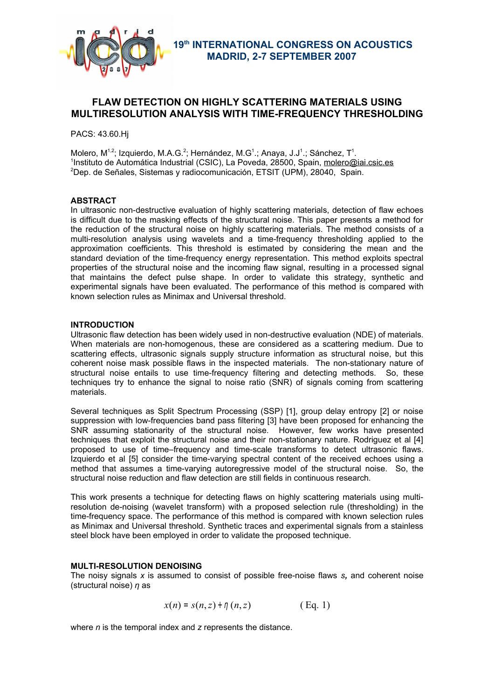

# **FLAW DETECTION ON HIGHLY SCATTERING MATERIALS USING MULTIRESOLUTION ANALYSIS WITH TIME-FREQUENCY THRESHOLDING**

PACS: 43.60.Hj

Molero, M<sup>1,2</sup>; Izquierdo, M.A.G.<sup>2</sup>; Hernández, M.G<sup>1</sup>.; Anaya, J.J<sup>1</sup>.; Sánchez, T<sup>1</sup>. <sup>1</sup>Instituto de Automática Industrial (CSIC), La Poveda, 28500, Spain, molero@iai.csic.es <sup>2</sup>Dep. de Señales, Sistemas y radiocomunicación, ETSIT (UPM), 28040, Spain.

## **ABSTRACT**

In ultrasonic non-destructive evaluation of highly scattering materials, detection of flaw echoes is difficult due to the masking effects of the structural noise. This paper presents a method for the reduction of the structural noise on highly scattering materials. The method consists of a multi-resolution analysis using wavelets and a time-frequency thresholding applied to the approximation coefficients. This threshold is estimated by considering the mean and the standard deviation of the time-frequency energy representation. This method exploits spectral properties of the structural noise and the incoming flaw signal, resulting in a processed signal that maintains the defect pulse shape. In order to validate this strategy, synthetic and experimental signals have been evaluated. The performance of this method is compared with known selection rules as Minimax and Universal threshold.

### **INTRODUCTION**

Ultrasonic flaw detection has been widely used in non-destructive evaluation (NDE) of materials. When materials are non-homogenous, these are considered as a scattering medium. Due to scattering effects, ultrasonic signals supply structure information as structural noise, but this coherent noise mask possible flaws in the inspected materials. The non-stationary nature of structural noise entails to use time-frequency filtering and detecting methods. So, these techniques try to enhance the signal to noise ratio (SNR) of signals coming from scattering materials.

Several techniques as Split Spectrum Processing (SSP) [1], group delay entropy [2] or noise suppression with low-frequencies band pass filtering [3] have been proposed for enhancing the SNR assuming stationarity of the structural noise. However, few works have presented techniques that exploit the structural noise and their non-stationary nature. Rodriguez et al [4] proposed to use of time–frequency and time-scale transforms to detect ultrasonic flaws. Izquierdo et al [5] consider the time-varying spectral content of the received echoes using a method that assumes a time-varying autoregressive model of the structural noise. So, the structural noise reduction and flaw detection are still fields in continuous research.

This work presents a technique for detecting flaws on highly scattering materials using multiresolution de-noising (wavelet transform) with a proposed selection rule (thresholding) in the time-frequency space. The performance of this method is compared with known selection rules as Minimax and Universal threshold. Synthetic traces and experimental signals from a stainless steel block have been employed in order to validate the proposed technique.

### **MULTI-RESOLUTION DENOISING**

The noisy signals *x* is assumed to consist of possible free-noise flaws *s,* and coherent noise (structural noise) *η* as

$$
x(n) = s(n, z) + \eta(n, z) \qquad (\text{Eq. 1})
$$

where *n* is the temporal index and *z* represents the distance.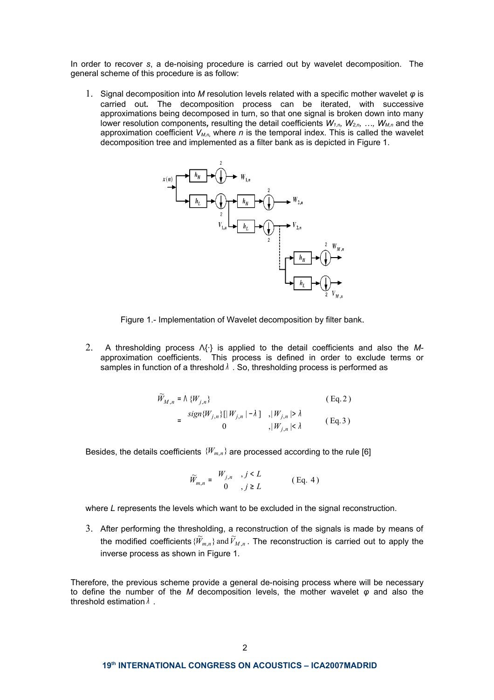In order to recover *s*, a de-noising procedure is carried out by wavelet decomposition. The general scheme of this procedure is as follow:

1. Signal decomposition into *M* resolution levels related with a specific mother wavelet *φ* is carried out*.* The decomposition process can be iterated, with successive approximations being decomposed in turn, so that one signal is broken down into many lower resolution components*,* resulting the detail coefficients *W1,n, W2,n, …, WM,n* and the approximation coefficient *VM,n,* where *n* is the temporal index. This is called the wavelet decomposition tree and implemented as a filter bank as is depicted in Figure 1.



Figure 1.- Implementation of Wavelet decomposition by filter bank.

2. A thresholding process Λ{·} is applied to the detail coefficients and also the *M*approximation coefficients. This process is defined in order to exclude terms or samples in function of a threshold  $\lambda$  . So, thresholding process is performed as

$$
\widetilde{W}_{M,n} = \Lambda \{W_{j,n}\}\n\begin{cases}\n\text{sign}\{W_{j,n}\}\left[|W_{j,n}| - \lambda\right] & , |W_{j,n}| > \lambda \\
0 & , |W_{j,n}| \leq \lambda\n\end{cases}\n\qquad (Eq. 2)
$$

Besides, the details coefficients  ${W_{m,n}}$  are processed according to the rule [6]

$$
\widetilde{W}_{m,n} = \begin{cases} W_{j,n} & , j \le L \\ 0 & , j \ge L \end{cases}
$$
 (Eq. 4)

where *L* represents the levels which want to be excluded in the signal reconstruction.

3. After performing the thresholding, a reconstruction of the signals is made by means of the modified coefficients  $\{\widetilde{W}_{m,n}\}$  and  $\widetilde{V}_{M,n}$ . The reconstruction is carried out to apply the inverse process as shown in Figure 1.

Therefore, the previous scheme provide a general de-noising process where will be necessary to define the number of the *M* decomposition levels, the mother wavelet *φ* and also the threshold estimation  $λ$ .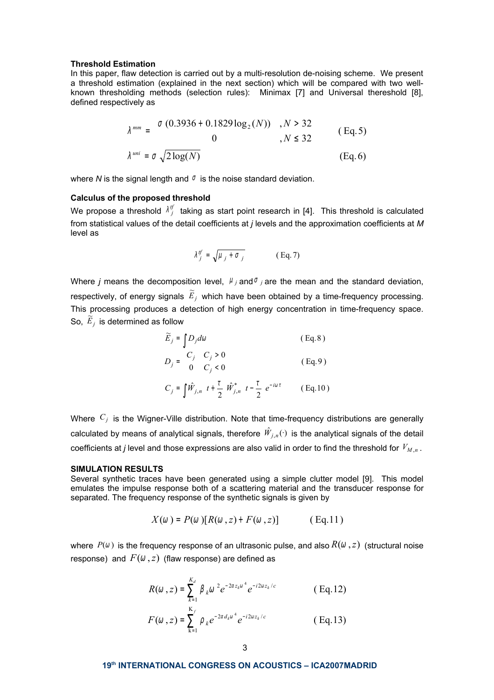#### **Threshold Estimation**

In this paper, flaw detection is carried out by a multi-resolution de-noising scheme. We present a threshold estimation (explained in the next section) which will be compared with two wellknown thresholding methods (selection rules): Minimax [7] and Universal thereshold [8], defined respectively as

$$
\lambda^{mm} = \begin{cases}\n\sigma (0.3936 + 0.1829 \log_2(N)) & , N > 32 \\
0 & , N \le 32\n\end{cases}
$$
\n(Eq.5)  
\n
$$
\lambda^{uni} = \sigma \sqrt{2 \log(N)}
$$
\n(Eq.6)

where *N* is the signal length and  $\sigma$  is the noise standard deviation.

### **Calculus of the proposed threshold**

We propose a threshold  $\lambda^{tf}_j$  taking as start point research in [4]. This threshold is calculated from statistical values of the detail coefficients at *j* levels and the approximation coefficients at *M* level as

$$
\lambda_j^{tf} = \sqrt{\mu_j + \sigma_j} \qquad (\text{Eq. 7})
$$

Where *j* means the decomposition level,  $\mu_j$  and  $\sigma_j$  are the mean and the standard deviation, respectively, of energy signals  $\widetilde{E}_j$  which have been obtained by a time-frequency processing. This processing produces a detection of high energy concentration in time-frequency space. So,  $\widetilde{E}_j$  is determined as follow

$$
\widetilde{E}_j = \int D_j d\omega \qquad (\text{Eq. 8})
$$

$$
D_j = \begin{cases} C_j & C_j > 0 \\ 0 & C_j < 0 \end{cases} \tag{Eq.9}
$$
\n
$$
C_j = \int \hat{W}_{j,n} \left( t + \frac{\tau}{2} \right) \hat{W}_{j,n}^* \left( t - \frac{\tau}{2} \right) e^{-i\omega \tau} \tag{Eq.10}
$$

Where *C<sup>j</sup>* is the Wigner-Ville distribution. Note that time-frequency distributions are generally calculated by means of analytical signals, therefore  $\hat{W}_{j,n}(\cdot)$  is the analytical signals of the detail coefficients at *j* level and those expressions are also valid in order to find the threshold for *V<sup>M</sup>* ,*<sup>n</sup>* .

#### **SIMULATION RESULTS**

Several synthetic traces have been generated using a simple clutter model [9]. This model emulates the impulse response both of a scattering material and the transducer response for separated. The frequency response of the synthetic signals is given by

$$
X(\omega) = P(\omega) [R(\omega, z) + F(\omega, z)] \quad (\text{Eq.11})
$$

where  $P(\omega)$  is the frequency response of an ultrasonic pulse, and also  $R(\omega, z)$  (structural noise response) and  $F(\omega, z)$  (flaw response) are defined as

$$
R(\omega, z) = \sum_{k=1}^{K_d} \beta_k \omega^2 e^{-2\alpha z_k \omega^4} e^{-i2\omega z_k/c}
$$
 (Eq.12)  

$$
F(\omega, z) = \sum_{k=1}^{K_f} \rho_k e^{-2\alpha d_k \omega^4} e^{-i2\omega z_k/c}
$$
 (Eq.13)

**19 th INTERNATIONAL CONGRESS ON ACOUSTICS – ICA2007MADRID**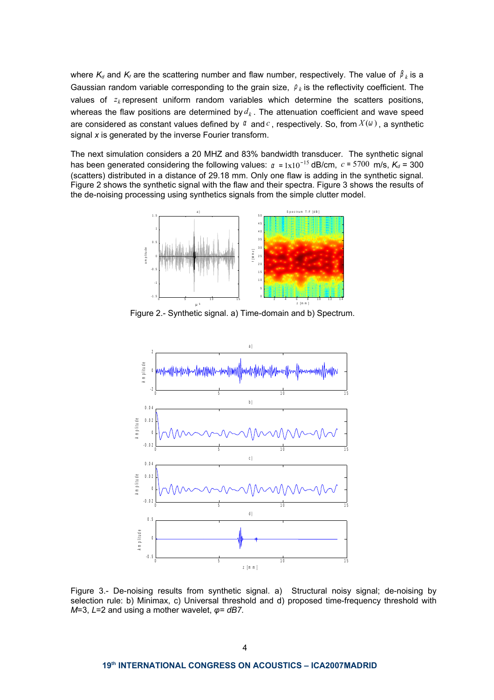where  $K_d$  and  $K_f$  are the scattering number and flaw number, respectively. The value of  $\beta_k$  is a Gaussian random variable corresponding to the grain size,  $\rho_k$  is the reflectivity coefficient. The values of  $z_k$  represent uniform random variables which determine the scatters positions, whereas the flaw positions are determined by  $d_k$ . The attenuation coefficient and wave speed are considered as constant values defined by <sup>α</sup> and*c* , respectively. So, from *X* (<sup>ω</sup> ) , a synthetic signal *x* is generated by the inverse Fourier transform.

The next simulation considers a 20 MHZ and 83% bandwidth transducer. The synthetic signal has been generated considering the following values:  $\alpha = 1 \times 10^{-15}$  dB/cm,  $c = 5700$  m/s,  $K_d = 300$ (scatters) distributed in a distance of 29.18 mm. Only one flaw is adding in the synthetic signal. Figure 2 shows the synthetic signal with the flaw and their spectra. Figure 3 shows the results of the de-noising processing using synthetics signals from the simple clutter model.



Figure 2.- Synthetic signal. a) Time-domain and b) Spectrum.



Figure 3.- De-noising results from synthetic signal. a) Structural noisy signal; de-noising by selection rule: b) Minimax, c) Universal threshold and d) proposed time-frequency threshold with *M*=3, *L*=2 and using a mother wavelet, *φ= dB7*.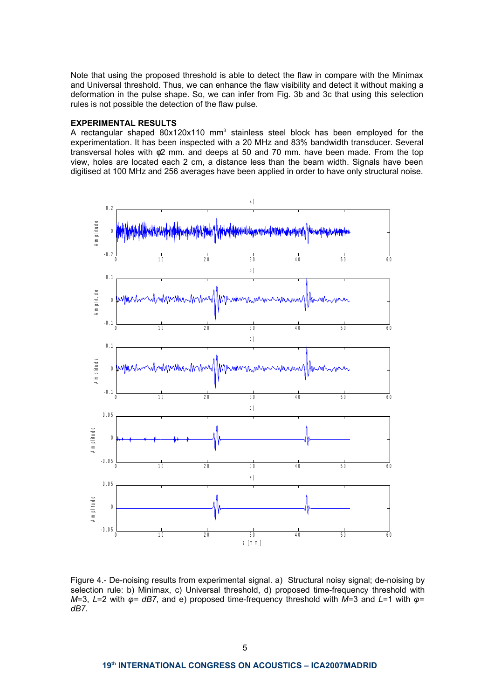Note that using the proposed threshold is able to detect the flaw in compare with the Minimax and Universal threshold. Thus, we can enhance the flaw visibility and detect it without making a deformation in the pulse shape. So, we can infer from Fig. 3b and 3c that using this selection rules is not possible the detection of the flaw pulse.

### **EXPERIMENTAL RESULTS**

A rectangular shaped  $80x120x110$  mm<sup>3</sup> stainless steel block has been employed for the experimentation. It has been inspected with a 20 MHz and 83% bandwidth transducer. Several transversal holes with φ2 mm. and deeps at 50 and 70 mm. have been made. From the top view, holes are located each 2 cm, a distance less than the beam width. Signals have been digitised at 100 MHz and 256 averages have been applied in order to have only structural noise.



Figure 4.- De-noising results from experimental signal. a) Structural noisy signal; de-noising by selection rule: b) Minimax, c) Universal threshold, d) proposed time-frequency threshold with *M*=3, *L*=2 with *φ= dB7*, and e) proposed time-frequency threshold with *M*=3 and *L*=1 with *φ= dB7*.